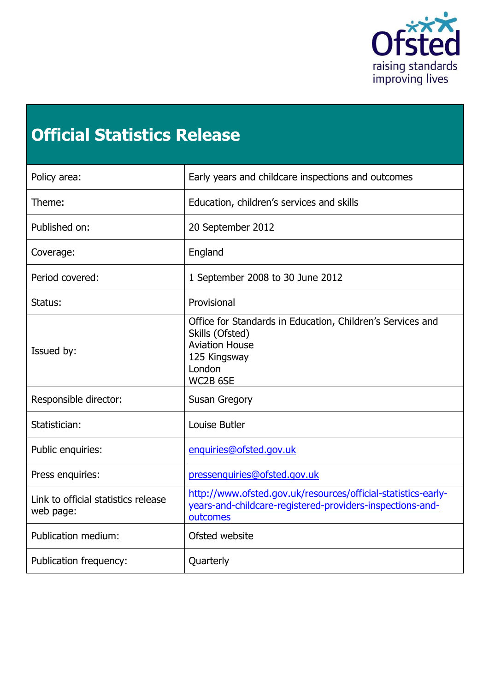

# **Official Statistics Release**

<span id="page-0-0"></span>

| Policy area:                                     | Early years and childcare inspections and outcomes                                                                                           |
|--------------------------------------------------|----------------------------------------------------------------------------------------------------------------------------------------------|
| Theme:                                           | Education, children's services and skills                                                                                                    |
| Published on:                                    | 20 September 2012                                                                                                                            |
| Coverage:                                        | England                                                                                                                                      |
| Period covered:                                  | 1 September 2008 to 30 June 2012                                                                                                             |
| Status:                                          | Provisional                                                                                                                                  |
| Issued by:                                       | Office for Standards in Education, Children's Services and<br>Skills (Ofsted)<br><b>Aviation House</b><br>125 Kingsway<br>London<br>WC2B 6SE |
| Responsible director:                            | <b>Susan Gregory</b>                                                                                                                         |
| Statistician:                                    | Louise Butler                                                                                                                                |
| Public enquiries:                                | enquiries@ofsted.gov.uk                                                                                                                      |
| Press enquiries:                                 | pressenquiries@ofsted.gov.uk                                                                                                                 |
| Link to official statistics release<br>web page: | http://www.ofsted.gov.uk/resources/official-statistics-early-<br>years-and-childcare-registered-providers-inspections-and-<br>outcomes       |
| Publication medium:                              | Ofsted website                                                                                                                               |
| Publication frequency:                           | Quarterly                                                                                                                                    |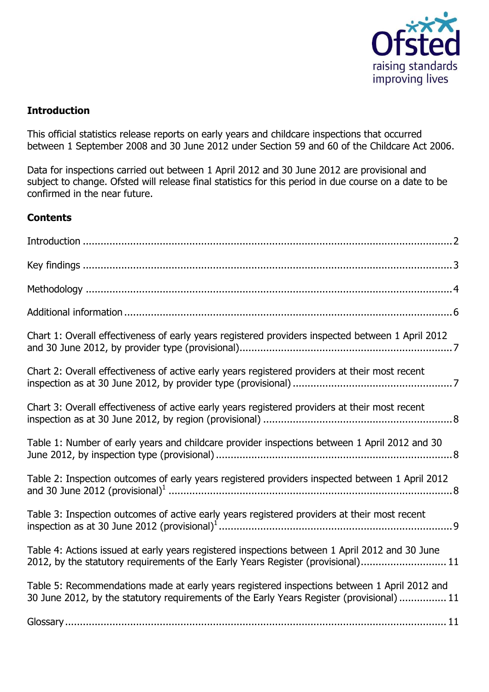

## **Introduction**

This official statistics release reports on early years and childcare inspections that occurred between 1 September 2008 and 30 June 2012 under Section 59 and 60 of the Childcare Act 2006.

Data for inspections carried out between 1 April 2012 and 30 June 2012 are provisional and subject to change. Ofsted will release final statistics for this period in due course on a date to be confirmed in the near future.

## **Contents**

| Chart 1: Overall effectiveness of early years registered providers inspected between 1 April 2012                                                                                         |
|-------------------------------------------------------------------------------------------------------------------------------------------------------------------------------------------|
| Chart 2: Overall effectiveness of active early years registered providers at their most recent                                                                                            |
| Chart 3: Overall effectiveness of active early years registered providers at their most recent                                                                                            |
| Table 1: Number of early years and childcare provider inspections between 1 April 2012 and 30                                                                                             |
| Table 2: Inspection outcomes of early years registered providers inspected between 1 April 2012                                                                                           |
| Table 3: Inspection outcomes of active early years registered providers at their most recent                                                                                              |
| Table 4: Actions issued at early years registered inspections between 1 April 2012 and 30 June<br>2012, by the statutory requirements of the Early Years Register (provisional) 11        |
| Table 5: Recommendations made at early years registered inspections between 1 April 2012 and<br>30 June 2012, by the statutory requirements of the Early Years Register (provisional)  11 |
|                                                                                                                                                                                           |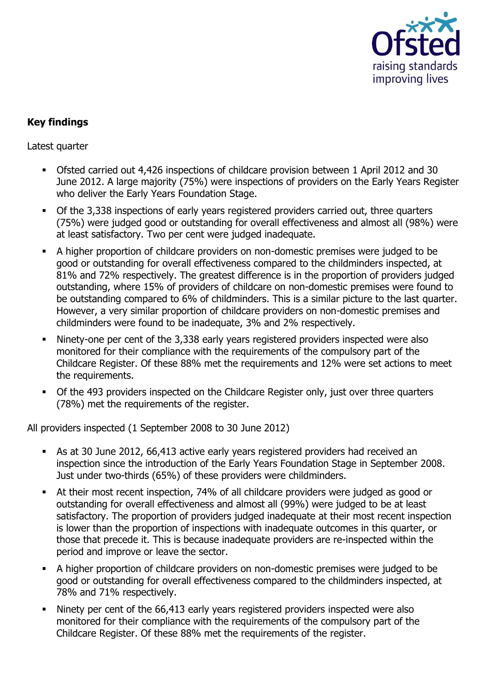

# <span id="page-2-0"></span>**Key findings**

Latest quarter

- Ofsted carried out 4,426 inspections of childcare provision between 1 April 2012 and 30 June 2012. A large majority (75%) were inspections of providers on the Early Years Register who deliver the Early Years Foundation Stage.
- Of the 3,338 inspections of early years registered providers carried out, three quarters (75%) were judged good or outstanding for overall effectiveness and almost all (98%) were at least satisfactory. Two per cent were judged inadequate.
- A higher proportion of childcare providers on non-domestic premises were judged to be good or outstanding for overall effectiveness compared to the childminders inspected, at 81% and 72% respectively. The greatest difference is in the proportion of providers judged outstanding, where 15% of providers of childcare on non-domestic premises were found to be outstanding compared to 6% of childminders. This is a similar picture to the last quarter. However, a very similar proportion of childcare providers on non-domestic premises and childminders were found to be inadequate, 3% and 2% respectively.
- Ninety-one per cent of the 3,338 early years registered providers inspected were also monitored for their compliance with the requirements of the compulsory part of the Childcare Register. Of these 88% met the requirements and 12% were set actions to meet the requirements.
- **Of the 493 providers inspected on the Childcare Register only, just over three quarters** (78%) met the requirements of the register.

All providers inspected (1 September 2008 to 30 June 2012)

- As at 30 June 2012, 66,413 active early years registered providers had received an inspection since the introduction of the Early Years Foundation Stage in September 2008. Just under two-thirds (65%) of these providers were childminders.
- At their most recent inspection, 74% of all childcare providers were judged as good or outstanding for overall effectiveness and almost all (99%) were judged to be at least satisfactory. The proportion of providers judged inadequate at their most recent inspection is lower than the proportion of inspections with inadequate outcomes in this quarter, or those that precede it. This is because inadequate providers are re-inspected within the period and improve or leave the sector.
- A higher proportion of childcare providers on non-domestic premises were judged to be good or outstanding for overall effectiveness compared to the childminders inspected, at 78% and 71% respectively.
- Ninety per cent of the 66,413 early years registered providers inspected were also monitored for their compliance with the requirements of the compulsory part of the Childcare Register. Of these 88% met the requirements of the register.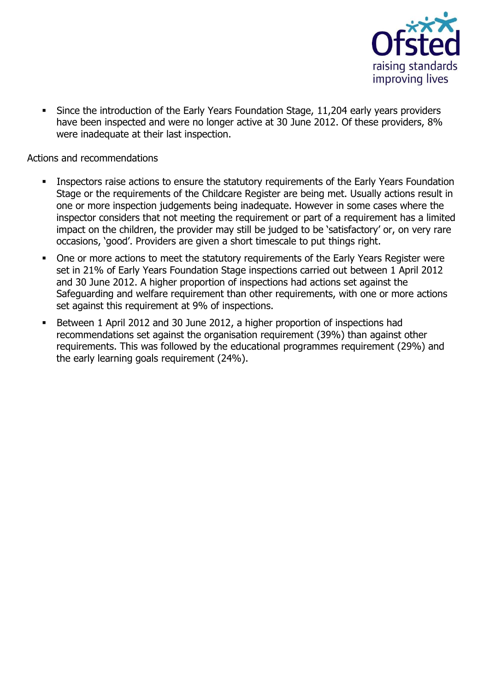

 Since the introduction of the Early Years Foundation Stage, 11,204 early years providers have been inspected and were no longer active at 30 June 2012. Of these providers, 8% were inadequate at their last inspection.

Actions and recommendations

- Inspectors raise actions to ensure the statutory requirements of the Early Years Foundation Stage or the requirements of the Childcare Register are being met. Usually actions result in one or more inspection judgements being inadequate. However in some cases where the inspector considers that not meeting the requirement or part of a requirement has a limited impact on the children, the provider may still be judged to be 'satisfactory' or, on very rare occasions, 'good'. Providers are given a short timescale to put things right.
- One or more actions to meet the statutory requirements of the Early Years Register were set in 21% of Early Years Foundation Stage inspections carried out between 1 April 2012 and 30 June 2012. A higher proportion of inspections had actions set against the Safeguarding and welfare requirement than other requirements, with one or more actions set against this requirement at 9% of inspections.
- <span id="page-3-0"></span> Between 1 April 2012 and 30 June 2012, a higher proportion of inspections had recommendations set against the organisation requirement (39%) than against other requirements. This was followed by the educational programmes requirement (29%) and the early learning goals requirement (24%).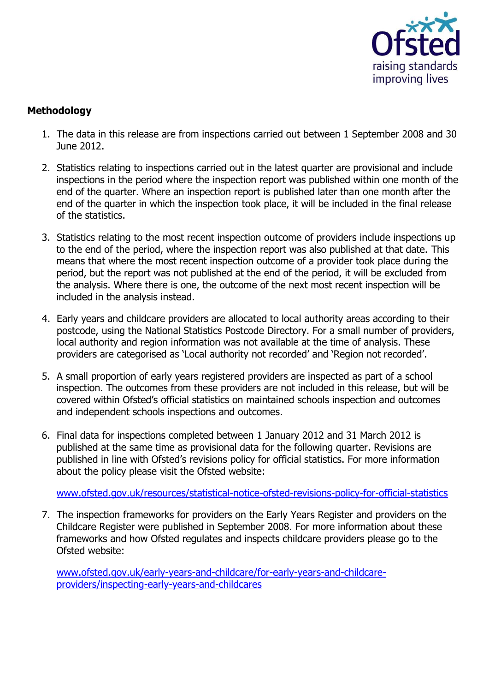

# **Methodology**

- 1. The data in this release are from inspections carried out between 1 September 2008 and 30 June 2012.
- 2. Statistics relating to inspections carried out in the latest quarter are provisional and include inspections in the period where the inspection report was published within one month of the end of the quarter. Where an inspection report is published later than one month after the end of the quarter in which the inspection took place, it will be included in the final release of the statistics.
- 3. Statistics relating to the most recent inspection outcome of providers include inspections up to the end of the period, where the inspection report was also published at that date. This means that where the most recent inspection outcome of a provider took place during the period, but the report was not published at the end of the period, it will be excluded from the analysis. Where there is one, the outcome of the next most recent inspection will be included in the analysis instead.
- 4. Early years and childcare providers are allocated to local authority areas according to their postcode, using the National Statistics Postcode Directory. For a small number of providers, local authority and region information was not available at the time of analysis. These providers are categorised as 'Local authority not recorded' and 'Region not recorded'.
- 5. A small proportion of early years registered providers are inspected as part of a school inspection. The outcomes from these providers are not included in this release, but will be covered within Ofsted's official statistics on maintained schools inspection and outcomes and independent schools inspections and outcomes.
- 6. Final data for inspections completed between 1 January 2012 and 31 March 2012 is published at the same time as provisional data for the following quarter. Revisions are published in line with Ofsted's revisions policy for official statistics. For more information about the policy please visit the Ofsted website:

[www.ofsted.gov.uk/resources/statistical-notice-ofsted-revisions-policy-for-official-statistics](http://www.ofsted.gov.uk/resources/statistical-notice-ofsted-revisions-policy-for-official-statistics)

7. The inspection frameworks for providers on the Early Years Register and providers on the Childcare Register were published in September 2008. For more information about these frameworks and how Ofsted regulates and inspects childcare providers please go to the Ofsted website:

<span id="page-4-0"></span>[www.ofsted.gov.uk/early-years-and-childcare/for-early-years-and-childcare](http://www.ofsted.gov.uk/early-years-and-childcare/for-early-years-and-childcare-providers/inspecting-early-years-and-childcares)[providers/inspecting-early-years-and-childcares](http://www.ofsted.gov.uk/early-years-and-childcare/for-early-years-and-childcare-providers/inspecting-early-years-and-childcares)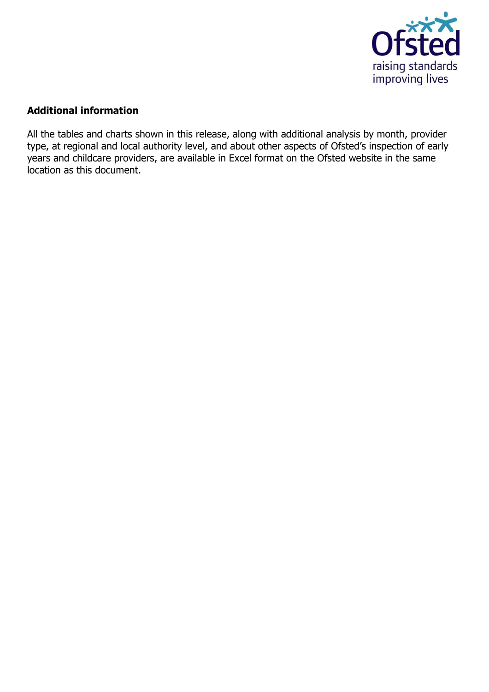

## **Additional information**

All the tables and charts shown in this release, along with additional analysis by month, provider type, at regional and local authority level, and about other aspects of Ofsted's inspection of early years and childcare providers, are available in Excel format on the Ofsted website in the same location as this document.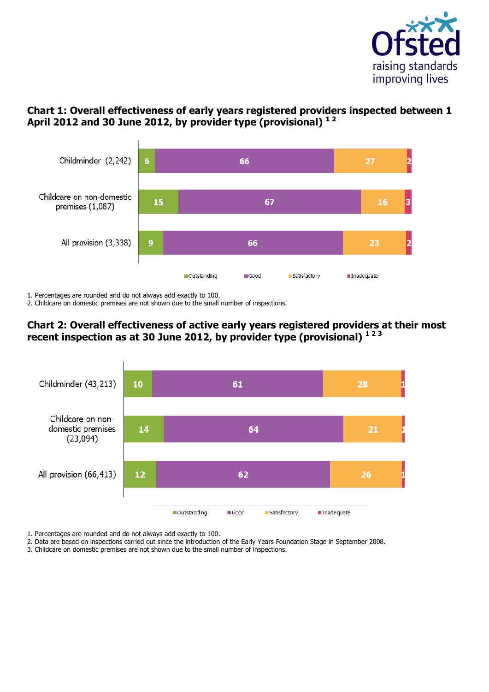

# <span id="page-6-0"></span>**Chart 1: Overall effectiveness of early years registered providers inspected between 1 April 2012 and 30 June 2012, by provider type (provisional) 1 2**



1. Percentages are rounded and do not always add exactly to 100.

2. Childcare on domestic premises are not shown due to the small number of inspections.

## **Chart 2: Overall effectiveness of active early years registered providers at their most recent inspection as at 30 June 2012, by provider type (provisional) 1 2 3**



1. Percentages are rounded and do not always add exactly to 100.

2. Data are based on inspections carried out since the introduction of the Early Years Foundation Stage in September 2008.

3. Childcare on domestic premises are not shown due to the small number of inspections.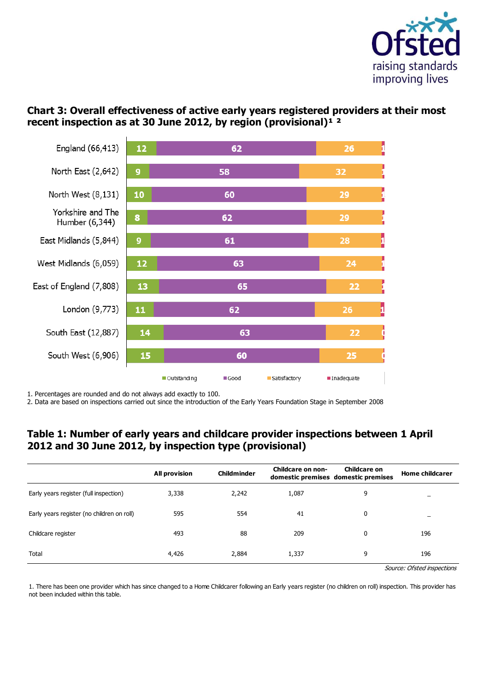

# <span id="page-7-0"></span>**Chart 3: Overall effectiveness of active early years registered providers at their most**  recent inspection as at 30 June 2012, by region (provisional)<sup>1</sup><sup>2</sup>



1. Percentages are rounded and do not always add exactly to 100.

2. Data are based on inspections carried out since the introduction of the Early Years Foundation Stage in September 2008

## <span id="page-7-1"></span>**Table 1: Number of early years and childcare provider inspections between 1 April 2012 and 30 June 2012, by inspection type (provisional)**

|                                            | <b>All provision</b> | Childminder | Childcare on non- | <b>Childcare on</b><br>domestic premises domestic premises | <b>Home childcarer</b>     |
|--------------------------------------------|----------------------|-------------|-------------------|------------------------------------------------------------|----------------------------|
| Early years register (full inspection)     | 3,338                | 2,242       | 1,087             | 9                                                          | -                          |
| Early years register (no children on roll) | 595                  | 554         | 41                | 0                                                          | $\overline{\phantom{0}}$   |
| Childcare register                         | 493                  | 88          | 209               | 0                                                          | 196                        |
| Total                                      | 4,426                | 2,884       | 1,337             | 9                                                          | 196                        |
|                                            |                      |             |                   |                                                            | Cource: Ofstad inconstions |

Source: Ofsted inspections

1. There has been one provider which has since changed to a Home Childcarer following an Early years register (no children on roll) inspection. This provider has not been included within this table.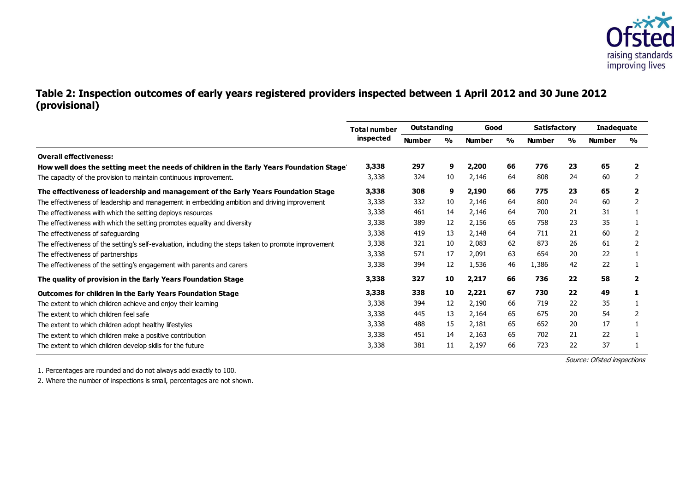

## **Table 2: Inspection outcomes of early years registered providers inspected between 1 April 2012 and 30 June 2012 (provisional)**

|                                                                                                      | <b>Total number</b> | Outstanding   |               | Good          |    | <b>Satisfactory</b> |               | Inadequate    |               |
|------------------------------------------------------------------------------------------------------|---------------------|---------------|---------------|---------------|----|---------------------|---------------|---------------|---------------|
|                                                                                                      | inspected           | <b>Number</b> | $\frac{0}{0}$ | <b>Number</b> | %  | <b>Number</b>       | $\frac{1}{2}$ | <b>Number</b> | $\frac{0}{0}$ |
| <b>Overall effectiveness:</b>                                                                        |                     |               |               |               |    |                     |               |               |               |
| How well does the setting meet the needs of children in the Early Years Foundation Stage             | 3,338               | 297           | 9             | 2,200         | 66 | 776                 | 23            | 65            |               |
| The capacity of the provision to maintain continuous improvement.                                    | 3,338               | 324           | 10            | 2,146         | 64 | 808                 | 24            | 60            | 2             |
| The effectiveness of leadership and management of the Early Years Foundation Stage                   | 3,338               | 308           | 9             | 2,190         | 66 | 775                 | 23            | 65            | $\mathbf{2}$  |
| The effectiveness of leadership and management in embedding ambition and driving improvement         | 3,338               | 332           | 10            | 2,146         | 64 | 800                 | 24            | 60            | 2             |
| The effectiveness with which the setting deploys resources                                           | 3,338               | 461           | 14            | 2,146         | 64 | 700                 | 21            | 31            |               |
| The effectiveness with which the setting promotes equality and diversity                             | 3,338               | 389           | 12            | 2,156         | 65 | 758                 | 23            | 35            |               |
| The effectiveness of safeguarding                                                                    | 3,338               | 419           | 13            | 2,148         | 64 | 711                 | 21            | 60            |               |
| The effectiveness of the setting's self-evaluation, including the steps taken to promote improvement | 3,338               | 321           | 10            | 2,083         | 62 | 873                 | 26            | 61            | 2             |
| The effectiveness of partnerships                                                                    | 3,338               | 571           | 17            | 2,091         | 63 | 654                 | 20            | 22            |               |
| The effectiveness of the setting's engagement with parents and carers                                | 3,338               | 394           | 12            | 1,536         | 46 | 1,386               | 42            | 22            |               |
| The quality of provision in the Early Years Foundation Stage                                         | 3,338               | 327           | 10            | 2,217         | 66 | 736                 | 22            | 58            | $\mathbf{2}$  |
| Outcomes for children in the Early Years Foundation Stage                                            | 3,338               | 338           | 10            | 2,221         | 67 | 730                 | 22            | 49            |               |
| The extent to which children achieve and enjoy their learning                                        | 3,338               | 394           | 12            | 2,190         | 66 | 719                 | 22            | 35            |               |
| The extent to which children feel safe                                                               | 3,338               | 445           | 13            | 2,164         | 65 | 675                 | 20            | 54            |               |
| The extent to which children adopt healthy lifestyles                                                | 3,338               | 488           | 15            | 2,181         | 65 | 652                 | 20            | 17            |               |
| The extent to which children make a positive contribution                                            | 3,338               | 451           | 14            | 2,163         | 65 | 702                 | 21            | 22            |               |
| The extent to which children develop skills for the future                                           | 3,338               | 381           | 11            | 2,197         | 66 | 723                 | 22            | 37            |               |

<span id="page-8-0"></span>1. Percentages are rounded and do not always add exactly to 100.

2. Where the number of inspections is small, percentages are not shown.

Source: Ofsted inspections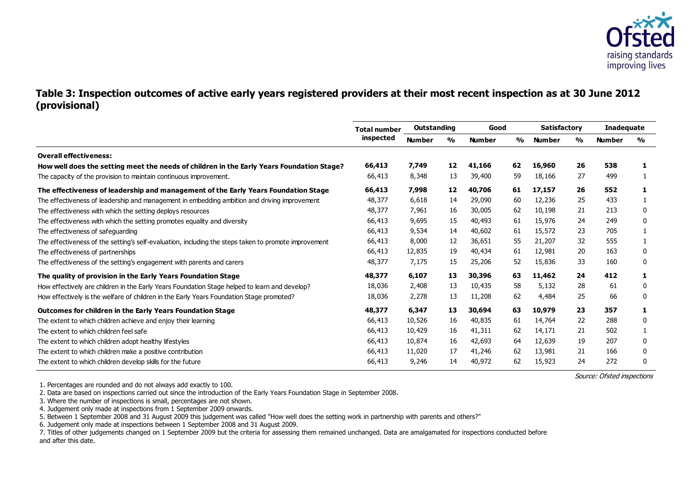

#### **Table 3: Inspection outcomes of active early years registered providers at their most recent inspection as at 30 June 2012 (provisional)**

| Total number |               |    |               |    |               |    | Inadequate          |               |
|--------------|---------------|----|---------------|----|---------------|----|---------------------|---------------|
| inspected    | <b>Number</b> | %  | <b>Number</b> | %  | <b>Number</b> | %  | <b>Number</b>       | $\frac{1}{2}$ |
|              |               |    |               |    |               |    |                     |               |
| 66,413       | 7,749         | 12 | 41,166        | 62 | 16,960        | 26 | 538                 |               |
| 66,413       | 8,348         | 13 | 39,400        | 59 | 18,166        | 27 | 499                 |               |
| 66,413       | 7,998         | 12 | 40,706        | 61 | 17,157        | 26 | 552                 |               |
| 48,377       | 6,618         | 14 | 29,090        | 60 | 12,236        | 25 | 433                 |               |
| 48,377       | 7,961         | 16 | 30,005        | 62 | 10,198        | 21 | 213                 | 0             |
| 66,413       | 9,695         | 15 | 40,493        | 61 | 15,976        | 24 | 249                 | 0             |
| 66,413       | 9,534         | 14 | 40,602        | 61 | 15,572        | 23 | 705                 |               |
| 66,413       | 8,000         | 12 | 36,651        | 55 | 21,207        | 32 | 555                 |               |
| 66,413       | 12,835        | 19 | 40,434        | 61 | 12,981        | 20 | 163                 | 0             |
| 48,377       | 7,175         | 15 | 25,206        | 52 | 15,836        | 33 | 160                 | 0             |
| 48,377       | 6,107         | 13 | 30,396        | 63 | 11,462        | 24 | 412                 |               |
| 18,036       | 2,408         | 13 | 10,435        | 58 | 5,132         | 28 | 61                  | 0             |
| 18,036       | 2,278         | 13 | 11,208        | 62 | 4,484         | 25 | 66                  | 0             |
| 48,377       | 6,347         | 13 | 30,694        | 63 | 10,979        | 23 | 357                 |               |
| 66,413       | 10,526        | 16 | 40,835        | 61 | 14,764        | 22 | 288                 | 0             |
| 66,413       | 10,429        | 16 | 41,311        | 62 | 14,171        | 21 | 502                 |               |
| 66,413       | 10,874        | 16 | 42,693        | 64 | 12,639        | 19 | 207                 | 0             |
| 66,413       | 11,020        | 17 | 41,246        | 62 | 13,981        | 21 | 166                 | 0             |
| 66,413       | 9,246         | 14 | 40,972        | 62 | 15,923        | 24 | 272                 | 0             |
|              |               |    | Outstanding   |    | Good          |    | <b>Satisfactory</b> |               |

Source: Ofsted inspections

1. Percentages are rounded and do not always add exactly to 100.

2. Data are based on inspections carried out since the introduction of the Early Years Foundation Stage in September 2008.

3. Where the number of inspections is small, percentages are not shown.

4. Judgement only made at inspections from 1 September 2009 onwards.

5. Between 1 September 2008 and 31 August 2009 this judgement was called "How well does the setting work in partnership with parents and others?"

6. Judgement only made at inspections between 1 September 2008 and 31 August 2009.

7. Titles of other judgements changed on 1 September 2009 but the criteria for assessing them remained unchanged. Data are amalgamated for inspections conducted before and after this date.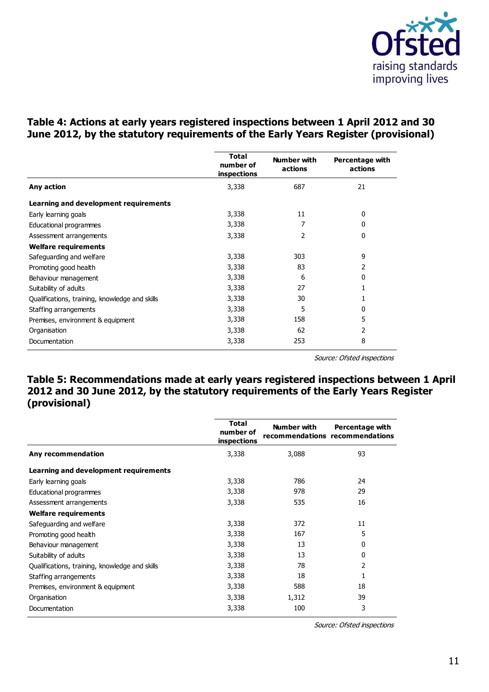

# <span id="page-10-0"></span>**Table 4: Actions at early years registered inspections between 1 April 2012 and 30 June 2012, by the statutory requirements of the Early Years Register (provisional)**

<span id="page-10-1"></span>

|                                                | <b>Total</b><br>number of<br>inspections | Number with<br>actions | <b>Percentage with</b><br>actions |
|------------------------------------------------|------------------------------------------|------------------------|-----------------------------------|
| Any action                                     | 3,338                                    | 687                    | 21                                |
| Learning and development requirements          |                                          |                        |                                   |
| Early learning goals                           | 3,338                                    | 11                     | 0                                 |
| Educational programmes                         | 3,338                                    |                        | 0                                 |
| Assessment arrangements                        | 3,338                                    | 2                      | 0                                 |
| <b>Welfare requirements</b>                    |                                          |                        |                                   |
| Safeguarding and welfare                       | 3,338                                    | 303                    | 9                                 |
| Promoting good health                          | 3,338                                    | 83                     | 2                                 |
| Behaviour management                           | 3,338                                    | 6                      | 0                                 |
| Suitability of adults                          | 3,338                                    | 27                     |                                   |
| Qualifications, training, knowledge and skills | 3,338                                    | 30                     |                                   |
| Staffing arrangements                          | 3,338                                    | 5                      | 0                                 |
| Premises, environment & equipment              | 3,338                                    | 158                    | 5                                 |
| Organisation                                   | 3,338                                    | 62                     | 2                                 |
| Documentation                                  | 3,338                                    | 253                    | 8                                 |

Source: Ofsted inspections

# **Table 5: Recommendations made at early years registered inspections between 1 April 2012 and 30 June 2012, by the statutory requirements of the Early Years Register (provisional)**

<span id="page-10-2"></span>

|                                                | <b>Total</b><br>number of<br>inspections | Number with | Percentage with<br>recommendations recommendations |
|------------------------------------------------|------------------------------------------|-------------|----------------------------------------------------|
| Any recommendation                             | 3,338                                    | 3,088       | 93                                                 |
| Learning and development requirements          |                                          |             |                                                    |
| Early learning goals                           | 3,338                                    | 786         | 24                                                 |
| Educational programmes                         | 3,338                                    | 978         | 29                                                 |
| Assessment arrangements                        | 3,338                                    | 535         | 16                                                 |
| <b>Welfare requirements</b>                    |                                          |             |                                                    |
| Safeguarding and welfare                       | 3,338                                    | 372         | 11                                                 |
| Promoting good health                          | 3,338                                    | 167         | 5                                                  |
| Behaviour management                           | 3,338                                    | 13          | 0                                                  |
| Suitability of adults                          | 3,338                                    | 13          | 0                                                  |
| Qualifications, training, knowledge and skills | 3,338                                    | 78          | 2                                                  |
| Staffing arrangements                          | 3,338                                    | 18          | 1                                                  |
| Premises, environment & equipment              | 3,338                                    | 588         | 18                                                 |
| Organisation                                   | 3,338                                    | 1,312       | 39                                                 |
| Documentation                                  | 3,338                                    | 100         | 3                                                  |

Source: Ofsted inspections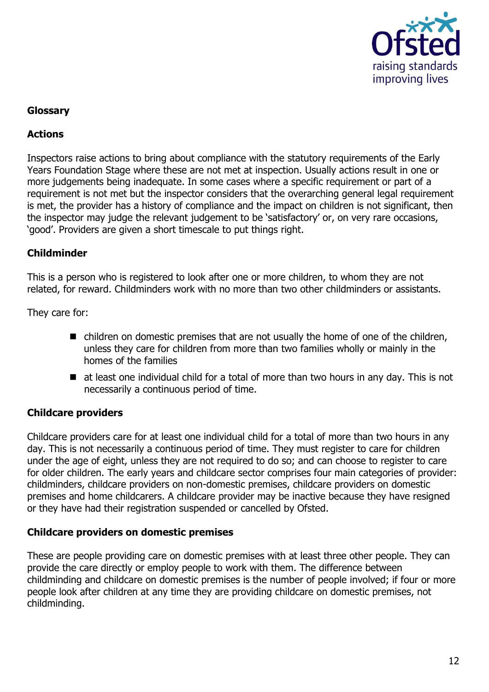

## **Glossary**

## **Actions**

Inspectors raise actions to bring about compliance with the statutory requirements of the Early Years Foundation Stage where these are not met at inspection. Usually actions result in one or more judgements being inadequate. In some cases where a specific requirement or part of a requirement is not met but the inspector considers that the overarching general legal requirement is met, the provider has a history of compliance and the impact on children is not significant, then the inspector may judge the relevant judgement to be 'satisfactory' or, on very rare occasions, 'good'. Providers are given a short timescale to put things right.

## **Childminder**

This is a person who is registered to look after one or more children, to whom they are not related, for reward. Childminders work with no more than two other childminders or assistants.

They care for:

- children on domestic premises that are not usually the home of one of the children, unless they care for children from more than two families wholly or mainly in the homes of the families
- at least one individual child for a total of more than two hours in any day. This is not necessarily a continuous period of time.

# **Childcare providers**

Childcare providers care for at least one individual child for a total of more than two hours in any day. This is not necessarily a continuous period of time. They must register to care for children under the age of eight, unless they are not required to do so; and can choose to register to care for older children. The early years and childcare sector comprises four main categories of provider: childminders, childcare providers on non-domestic premises, childcare providers on domestic premises and home childcarers. A childcare provider may be inactive because they have resigned or they have had their registration suspended or cancelled by Ofsted.

## **Childcare providers on domestic premises**

These are people providing care on domestic premises with at least three other people. They can provide the care directly or employ people to work with them. The difference between childminding and childcare on domestic premises is the number of people involved; if four or more people look after children at any time they are providing childcare on domestic premises, not childminding.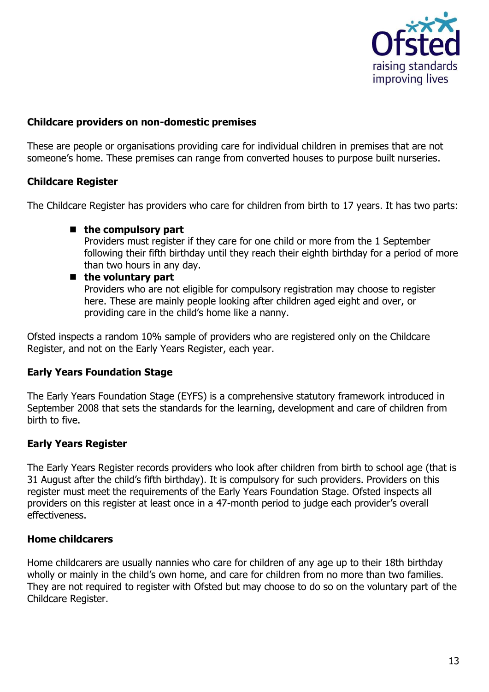

#### **Childcare providers on non-domestic premises**

These are people or organisations providing care for individual children in premises that are not someone's home. These premises can range from converted houses to purpose built nurseries.

#### **Childcare Register**

The Childcare Register has providers who care for children from birth to 17 years. It has two parts:

#### ■ the compulsory part

Providers must register if they care for one child or more from the 1 September following their fifth birthday until they reach their eighth birthday for a period of more than two hours in any day.

#### ■ the voluntary part

Providers who are not eligible for compulsory registration may choose to register here. These are mainly people looking after children aged eight and over, or providing care in the child's home like a nanny.

Ofsted inspects a random 10% sample of providers who are registered only on the Childcare Register, and not on the Early Years Register, each year.

#### **Early Years Foundation Stage**

The Early Years Foundation Stage (EYFS) is a comprehensive statutory framework introduced in September 2008 that sets the standards for the learning, development and care of children from birth to five.

#### **Early Years Register**

The Early Years Register records providers who look after children from birth to school age (that is 31 August after the child's fifth birthday). It is compulsory for such providers. Providers on this register must meet the requirements of the Early Years Foundation Stage. Ofsted inspects all providers on this register at least once in a 47-month period to judge each provider's overall effectiveness.

#### **Home childcarers**

Home childcarers are usually nannies who care for children of any age up to their 18th birthday wholly or mainly in the child's own home, and care for children from no more than two families. They are not required to register with Ofsted but may choose to do so on the voluntary part of the Childcare Register.